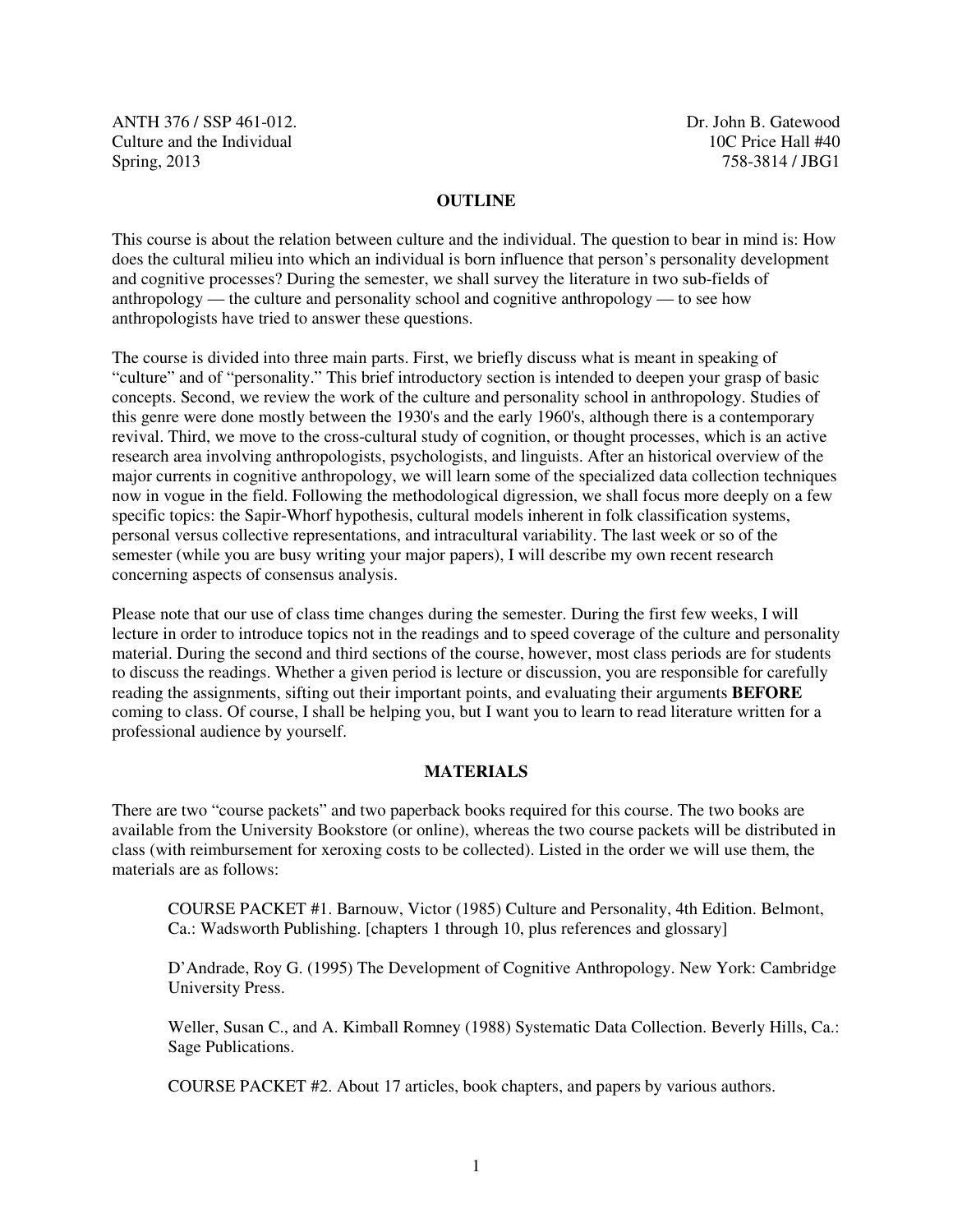ANTH 376 / SSP 461-012. Dr. John B. Gatewood Culture and the Individual the Individual terms of the Individual terms of the Individual terms of the Individual terms of the Individual terms of the Individual terms of the Individual terms of the Individual terms of the Spring, 2013 758-3814 / JBG1

### **OUTLINE**

This course is about the relation between culture and the individual. The question to bear in mind is: How does the cultural milieu into which an individual is born influence that person's personality development and cognitive processes? During the semester, we shall survey the literature in two sub-fields of anthropology — the culture and personality school and cognitive anthropology — to see how anthropologists have tried to answer these questions.

The course is divided into three main parts. First, we briefly discuss what is meant in speaking of "culture" and of "personality." This brief introductory section is intended to deepen your grasp of basic concepts. Second, we review the work of the culture and personality school in anthropology. Studies of this genre were done mostly between the 1930's and the early 1960's, although there is a contemporary revival. Third, we move to the cross-cultural study of cognition, or thought processes, which is an active research area involving anthropologists, psychologists, and linguists. After an historical overview of the major currents in cognitive anthropology, we will learn some of the specialized data collection techniques now in vogue in the field. Following the methodological digression, we shall focus more deeply on a few specific topics: the Sapir-Whorf hypothesis, cultural models inherent in folk classification systems, personal versus collective representations, and intracultural variability. The last week or so of the semester (while you are busy writing your major papers), I will describe my own recent research concerning aspects of consensus analysis.

Please note that our use of class time changes during the semester. During the first few weeks, I will lecture in order to introduce topics not in the readings and to speed coverage of the culture and personality material. During the second and third sections of the course, however, most class periods are for students to discuss the readings. Whether a given period is lecture or discussion, you are responsible for carefully reading the assignments, sifting out their important points, and evaluating their arguments **BEFORE** coming to class. Of course, I shall be helping you, but I want you to learn to read literature written for a professional audience by yourself.

### **MATERIALS**

There are two "course packets" and two paperback books required for this course. The two books are available from the University Bookstore (or online), whereas the two course packets will be distributed in class (with reimbursement for xeroxing costs to be collected). Listed in the order we will use them, the materials are as follows:

COURSE PACKET #1. Barnouw, Victor (1985) Culture and Personality, 4th Edition. Belmont, Ca.: Wadsworth Publishing. [chapters 1 through 10, plus references and glossary]

D'Andrade, Roy G. (1995) The Development of Cognitive Anthropology. New York: Cambridge University Press.

Weller, Susan C., and A. Kimball Romney (1988) Systematic Data Collection. Beverly Hills, Ca.: Sage Publications.

COURSE PACKET #2. About 17 articles, book chapters, and papers by various authors.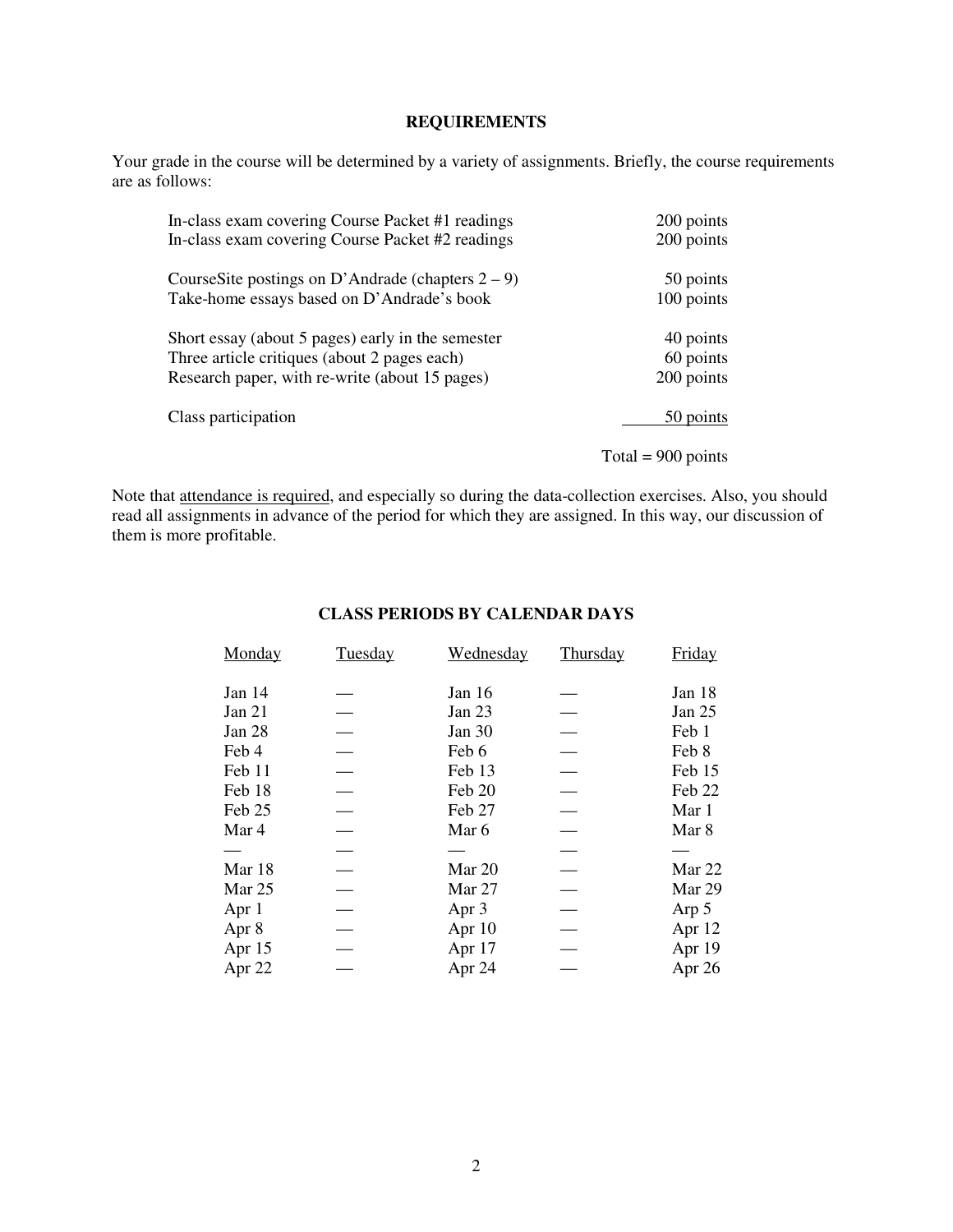### **REQUIREMENTS**

Your grade in the course will be determined by a variety of assignments. Briefly, the course requirements are as follows:

| In-class exam covering Course Packet #1 readings     | 200 points           |
|------------------------------------------------------|----------------------|
| In-class exam covering Course Packet #2 readings     | 200 points           |
| CourseSite postings on D'Andrade (chapters $2 - 9$ ) | 50 points            |
| Take-home essays based on D'Andrade's book           | 100 points           |
| Short essay (about 5 pages) early in the semester    | 40 points            |
| Three article critiques (about 2 pages each)         | 60 points            |
| Research paper, with re-write (about 15 pages)       | 200 points           |
| Class participation                                  | 50 points            |
|                                                      | Total = $900$ points |

Note that attendance is required, and especially so during the data-collection exercises. Also, you should read all assignments in advance of the period for which they are assigned. In this way, our discussion of them is more profitable.

### **CLASS PERIODS BY CALENDAR DAYS**

| Monday   | Tuesday | Wednesday | Thursday | Friday   |
|----------|---------|-----------|----------|----------|
| Jan 14   |         | Jan $16$  |          | Jan 18   |
| Jan $21$ |         | Jan $23$  |          | Jan 25   |
| Jan 28   |         | Jan $30$  |          | Feb 1    |
| Feb 4    |         | Feb 6     |          | Feb 8    |
| Feb 11   |         | Feb 13    |          | Feb 15   |
| Feb 18   |         | Feb 20    |          | Feb 22   |
| Feb 25   |         | Feb 27    |          | Mar 1    |
| Mar 4    |         | Mar 6     |          | Mar 8    |
|          |         |           |          |          |
| Mar 18   |         | Mar 20    |          | Mar 22   |
| Mar 25   |         | Mar 27    |          | Mar 29   |
| Apr 1    |         | Apr 3     |          | Arp 5    |
| Apr 8    |         | Apr $10$  |          | Apr $12$ |
| Apr 15   |         | Apr 17    |          | Apr 19   |
| Apr 22   |         | Apr 24    |          | Apr 26   |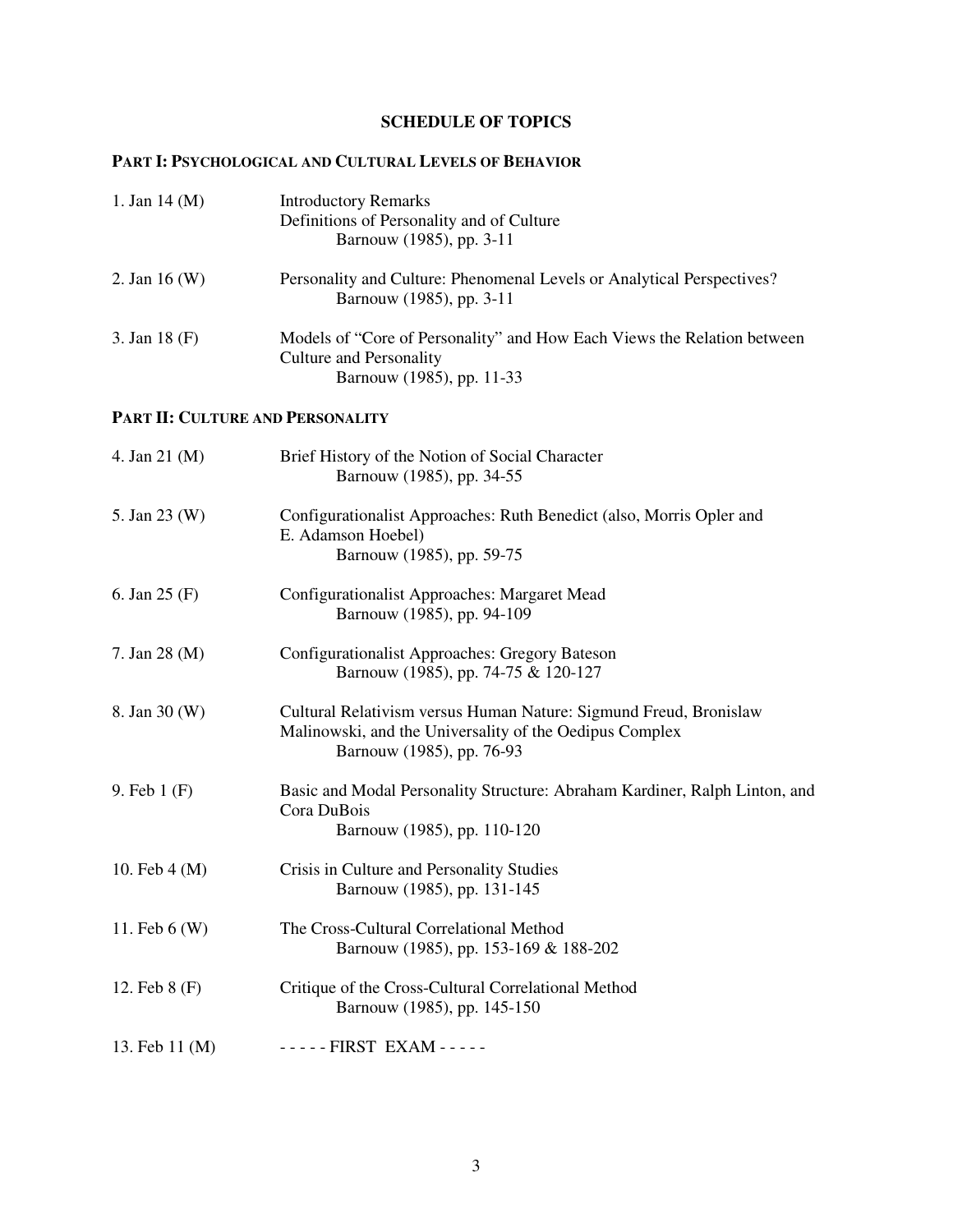## **SCHEDULE OF TOPICS**

## **PART I: PSYCHOLOGICAL AND CULTURAL LEVELS OF BEHAVIOR**

| 1. Jan $14 \,(M)$                | <b>Introductory Remarks</b><br>Definitions of Personality and of Culture<br>Barnouw (1985), pp. 3-11                                                      |
|----------------------------------|-----------------------------------------------------------------------------------------------------------------------------------------------------------|
| 2. Jan $16(W)$                   | Personality and Culture: Phenomenal Levels or Analytical Perspectives?<br>Barnouw (1985), pp. 3-11                                                        |
| 3. Jan 18 (F)                    | Models of "Core of Personality" and How Each Views the Relation between<br><b>Culture and Personality</b><br>Barnouw (1985), pp. 11-33                    |
| PART II: CULTURE AND PERSONALITY |                                                                                                                                                           |
| 4. Jan 21 (M)                    | Brief History of the Notion of Social Character<br>Barnouw (1985), pp. 34-55                                                                              |
| 5. Jan 23 (W)                    | Configurationalist Approaches: Ruth Benedict (also, Morris Opler and<br>E. Adamson Hoebel)<br>Barnouw (1985), pp. 59-75                                   |
| 6. Jan $25(F)$                   | Configurationalist Approaches: Margaret Mead<br>Barnouw (1985), pp. 94-109                                                                                |
| 7. Jan 28 (M)                    | Configurationalist Approaches: Gregory Bateson<br>Barnouw (1985), pp. 74-75 & 120-127                                                                     |
| 8. Jan 30 (W)                    | Cultural Relativism versus Human Nature: Sigmund Freud, Bronislaw<br>Malinowski, and the Universality of the Oedipus Complex<br>Barnouw (1985), pp. 76-93 |
| 9. Feb $1(F)$                    | Basic and Modal Personality Structure: Abraham Kardiner, Ralph Linton, and<br>Cora DuBois<br>Barnouw (1985), pp. 110-120                                  |
| 10. Feb $4(M)$                   | Crisis in Culture and Personality Studies<br>Barnouw (1985), pp. 131-145                                                                                  |
| 11. Feb $6(W)$                   | The Cross-Cultural Correlational Method<br>Barnouw (1985), pp. 153-169 & 188-202                                                                          |
| 12. Feb 8 (F)                    | Critique of the Cross-Cultural Correlational Method<br>Barnouw (1985), pp. 145-150                                                                        |
| 13. Feb 11 (M)                   | ----- FIRST EXAM -----                                                                                                                                    |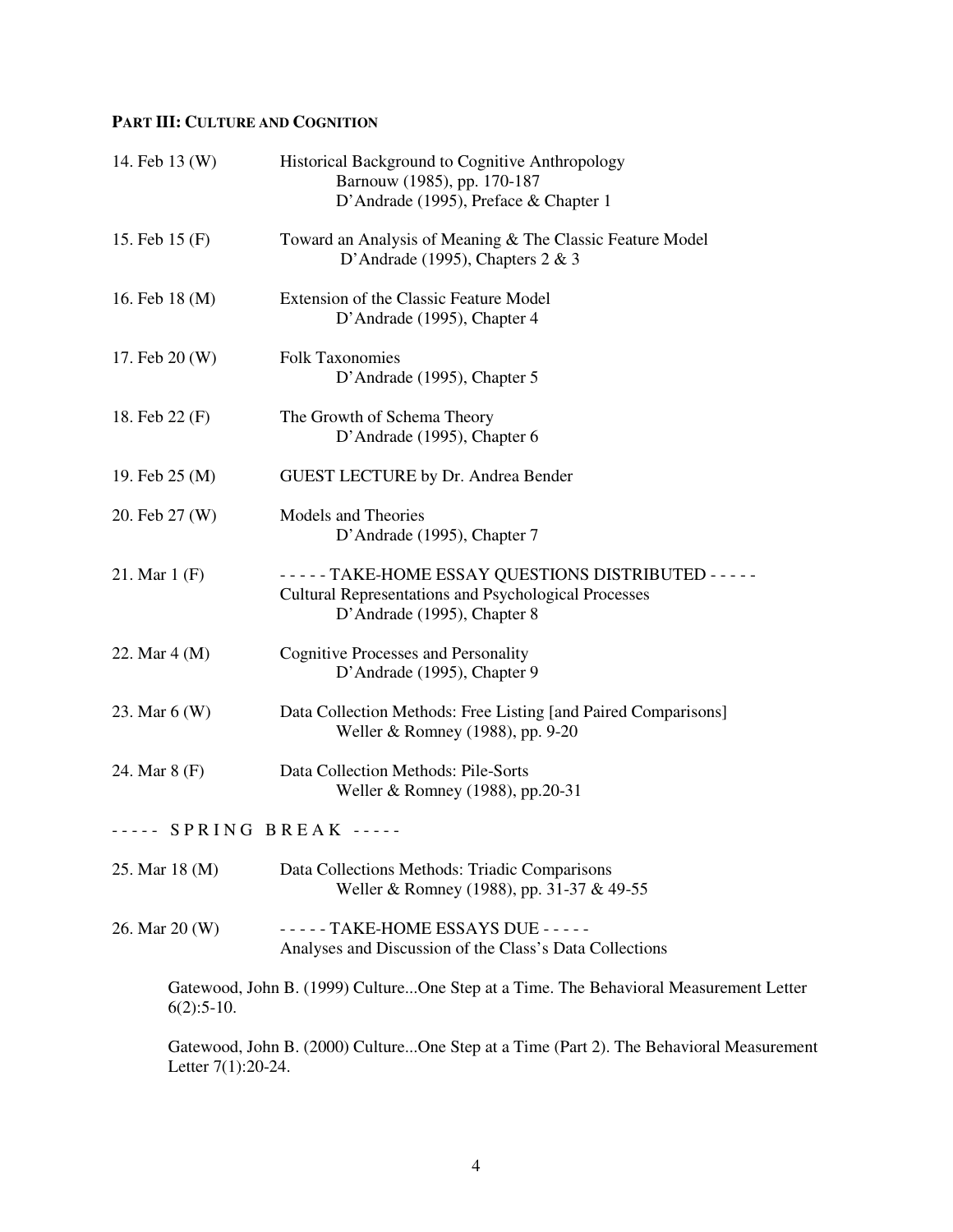# **PART III: CULTURE AND COGNITION**

| 14. Feb 13 (W)           | Historical Background to Cognitive Anthropology<br>Barnouw (1985), pp. 170-187<br>D'Andrade (1995), Preface & Chapter 1                                 |
|--------------------------|---------------------------------------------------------------------------------------------------------------------------------------------------------|
| 15. Feb 15 (F)           | Toward an Analysis of Meaning & The Classic Feature Model<br>D'Andrade (1995), Chapters $2 & 3$                                                         |
| 16. Feb 18 (M)           | Extension of the Classic Feature Model<br>D'Andrade (1995), Chapter 4                                                                                   |
| 17. Feb 20 (W)           | <b>Folk Taxonomies</b><br>D'Andrade (1995), Chapter 5                                                                                                   |
| 18. Feb 22 (F)           | The Growth of Schema Theory<br>D'Andrade (1995), Chapter 6                                                                                              |
| 19. Feb 25 (M)           | <b>GUEST LECTURE by Dr. Andrea Bender</b>                                                                                                               |
| 20. Feb 27 (W)           | <b>Models and Theories</b><br>D'Andrade (1995), Chapter 7                                                                                               |
| 21. Mar $1(F)$           | - - - - - TAKE-HOME ESSAY QUESTIONS DISTRIBUTED - - - - -<br><b>Cultural Representations and Psychological Processes</b><br>D'Andrade (1995), Chapter 8 |
| 22. Mar 4 (M)            | <b>Cognitive Processes and Personality</b><br>D'Andrade (1995), Chapter 9                                                                               |
| 23. Mar 6 (W)            | Data Collection Methods: Free Listing [and Paired Comparisons]<br>Weller & Romney (1988), pp. 9-20                                                      |
| 24. Mar 8 (F)            | Data Collection Methods: Pile-Sorts<br>Weller & Romney (1988), pp.20-31                                                                                 |
| ----- SPRING BREAK ----- |                                                                                                                                                         |
| 25. Mar 18 (M)           | Data Collections Methods: Triadic Comparisons<br>Weller & Romney (1988), pp. 31-37 & 49-55                                                              |
| 26. Mar 20 (W)           | ----- TAKE-HOME ESSAYS DUE -----<br>Analyses and Discussion of the Class's Data Collections                                                             |
| $6(2):5-10.$             | Gatewood, John B. (1999) CultureOne Step at a Time. The Behavioral Measurement Letter                                                                   |
| Letter $7(1):20-24$ .    | Gatewood, John B. (2000) CultureOne Step at a Time (Part 2). The Behavioral Measurement                                                                 |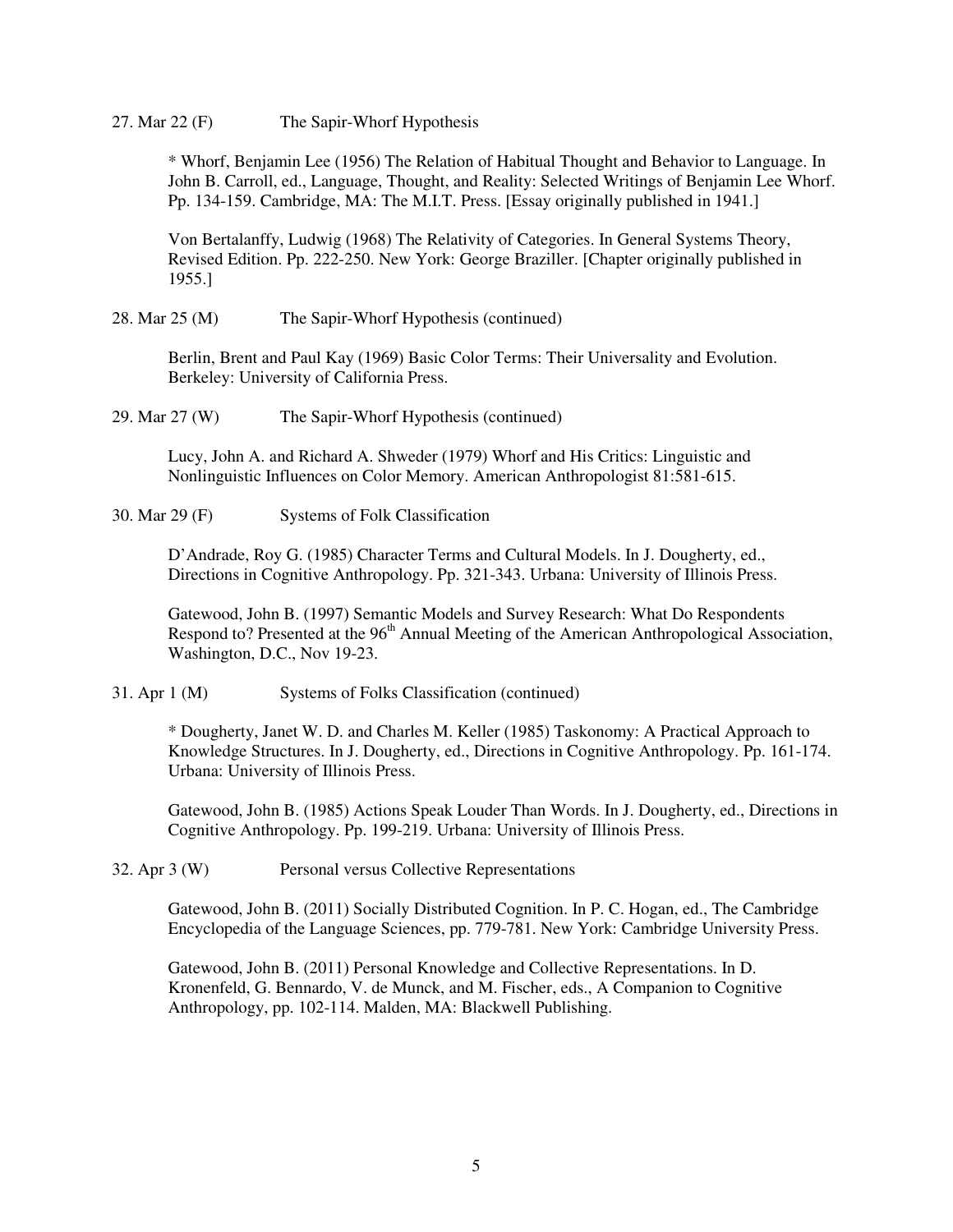27. Mar 22 (F) The Sapir-Whorf Hypothesis

\* Whorf, Benjamin Lee (1956) The Relation of Habitual Thought and Behavior to Language. In John B. Carroll, ed., Language, Thought, and Reality: Selected Writings of Benjamin Lee Whorf. Pp. 134-159. Cambridge, MA: The M.I.T. Press. [Essay originally published in 1941.]

Von Bertalanffy, Ludwig (1968) The Relativity of Categories. In General Systems Theory, Revised Edition. Pp. 222-250. New York: George Braziller. [Chapter originally published in 1955.]

#### 28. Mar 25 (M) The Sapir-Whorf Hypothesis (continued)

Berlin, Brent and Paul Kay (1969) Basic Color Terms: Their Universality and Evolution. Berkeley: University of California Press.

29. Mar 27 (W) The Sapir-Whorf Hypothesis (continued)

Lucy, John A. and Richard A. Shweder (1979) Whorf and His Critics: Linguistic and Nonlinguistic Influences on Color Memory. American Anthropologist 81:581-615.

30. Mar 29 (F) Systems of Folk Classification

D'Andrade, Roy G. (1985) Character Terms and Cultural Models. In J. Dougherty, ed., Directions in Cognitive Anthropology. Pp. 321-343. Urbana: University of Illinois Press.

Gatewood, John B. (1997) Semantic Models and Survey Research: What Do Respondents Respond to? Presented at the 96<sup>th</sup> Annual Meeting of the American Anthropological Association, Washington, D.C., Nov 19-23.

31. Apr 1 (M) Systems of Folks Classification (continued)

\* Dougherty, Janet W. D. and Charles M. Keller (1985) Taskonomy: A Practical Approach to Knowledge Structures. In J. Dougherty, ed., Directions in Cognitive Anthropology. Pp. 161-174. Urbana: University of Illinois Press.

Gatewood, John B. (1985) Actions Speak Louder Than Words. In J. Dougherty, ed., Directions in Cognitive Anthropology. Pp. 199-219. Urbana: University of Illinois Press.

32. Apr 3 (W) Personal versus Collective Representations

Gatewood, John B. (2011) Socially Distributed Cognition. In P. C. Hogan, ed., The Cambridge Encyclopedia of the Language Sciences, pp. 779-781. New York: Cambridge University Press.

Gatewood, John B. (2011) Personal Knowledge and Collective Representations. In D. Kronenfeld, G. Bennardo, V. de Munck, and M. Fischer, eds., A Companion to Cognitive Anthropology, pp. 102-114. Malden, MA: Blackwell Publishing.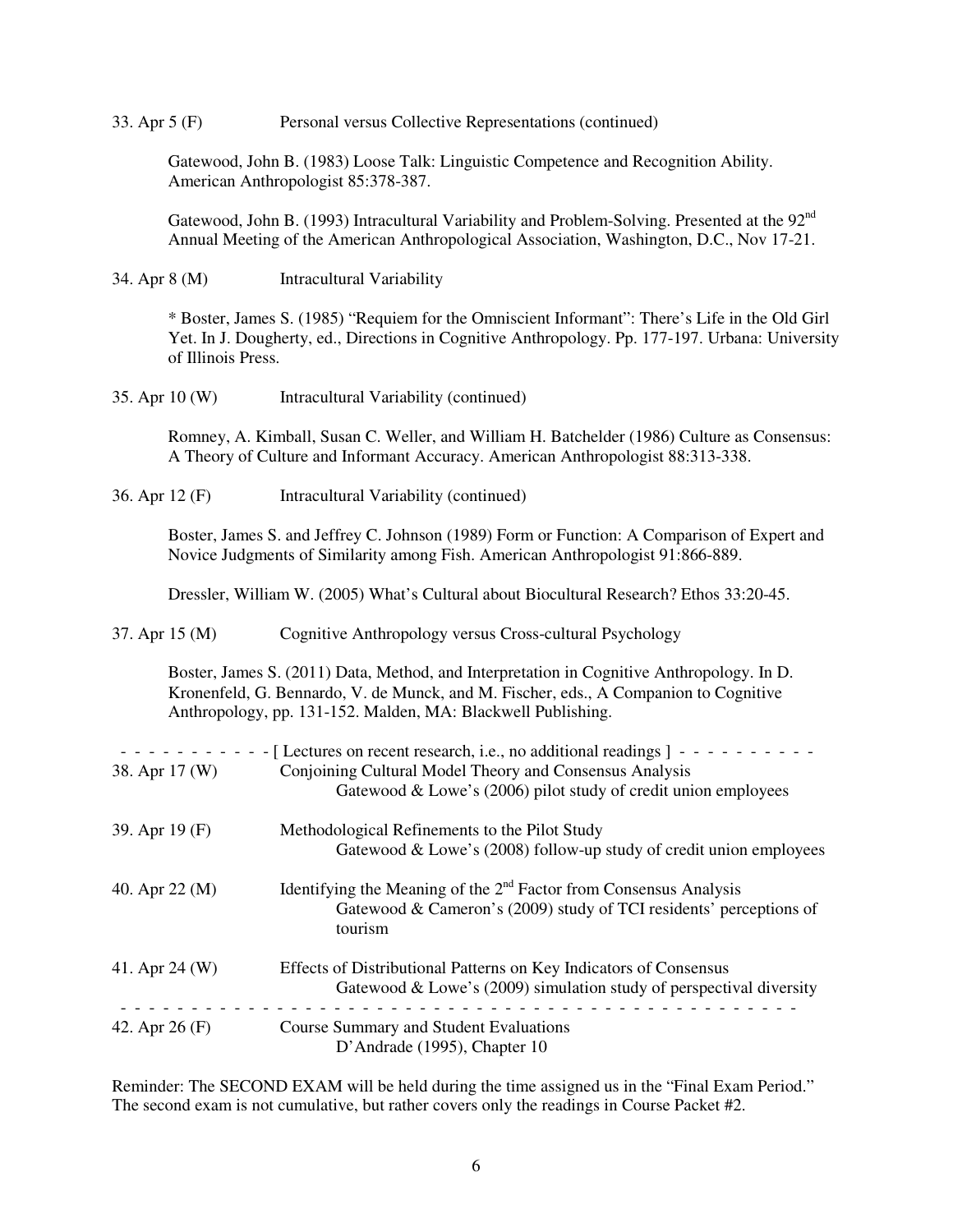33. Apr 5 (F) Personal versus Collective Representations (continued)

Gatewood, John B. (1983) Loose Talk: Linguistic Competence and Recognition Ability. American Anthropologist 85:378-387.

Gatewood, John B. (1993) Intracultural Variability and Problem-Solving. Presented at the 92<sup>nd</sup> Annual Meeting of the American Anthropological Association, Washington, D.C., Nov 17-21.

34. Apr 8 (M) Intracultural Variability

\* Boster, James S. (1985) "Requiem for the Omniscient Informant": There's Life in the Old Girl Yet. In J. Dougherty, ed., Directions in Cognitive Anthropology. Pp. 177-197. Urbana: University of Illinois Press.

| 35. Apr 10 (W) | Intracultural Variability (continued) |
|----------------|---------------------------------------|
|----------------|---------------------------------------|

Romney, A. Kimball, Susan C. Weller, and William H. Batchelder (1986) Culture as Consensus: A Theory of Culture and Informant Accuracy. American Anthropologist 88:313-338.

| 36. Apr 12 (F) | Intracultural Variability (continued) |  |
|----------------|---------------------------------------|--|
|----------------|---------------------------------------|--|

Boster, James S. and Jeffrey C. Johnson (1989) Form or Function: A Comparison of Expert and Novice Judgments of Similarity among Fish. American Anthropologist 91:866-889.

Dressler, William W. (2005) What's Cultural about Biocultural Research? Ethos 33:20-45.

37. Apr 15 (M) Cognitive Anthropology versus Cross-cultural Psychology

Boster, James S. (2011) Data, Method, and Interpretation in Cognitive Anthropology. In D. Kronenfeld, G. Bennardo, V. de Munck, and M. Fischer, eds., A Companion to Cognitive Anthropology, pp. 131-152. Malden, MA: Blackwell Publishing.

| 38. Apr 17 (W) | - [Lectures on recent research, i.e., no additional readings ] -<br>Conjoining Cultural Model Theory and Consensus Analysis<br>Gatewood & Lowe's (2006) pilot study of credit union employees |
|----------------|-----------------------------------------------------------------------------------------------------------------------------------------------------------------------------------------------|
| 39. Apr 19 (F) | Methodological Refinements to the Pilot Study<br>Gatewood & Lowe's (2008) follow-up study of credit union employees                                                                           |
| 40. Apr 22 (M) | Identifying the Meaning of the $2nd$ Factor from Consensus Analysis<br>Gatewood & Cameron's $(2009)$ study of TCI residents' perceptions of<br>tourism                                        |
| 41. Apr 24 (W) | Effects of Distributional Patterns on Key Indicators of Consensus<br>Gatewood & Lowe's $(2009)$ simulation study of perspectival diversity                                                    |
| 42. Apr 26 (F) | <b>Course Summary and Student Evaluations</b><br>D'Andrade (1995), Chapter 10                                                                                                                 |

Reminder: The SECOND EXAM will be held during the time assigned us in the "Final Exam Period." The second exam is not cumulative, but rather covers only the readings in Course Packet #2.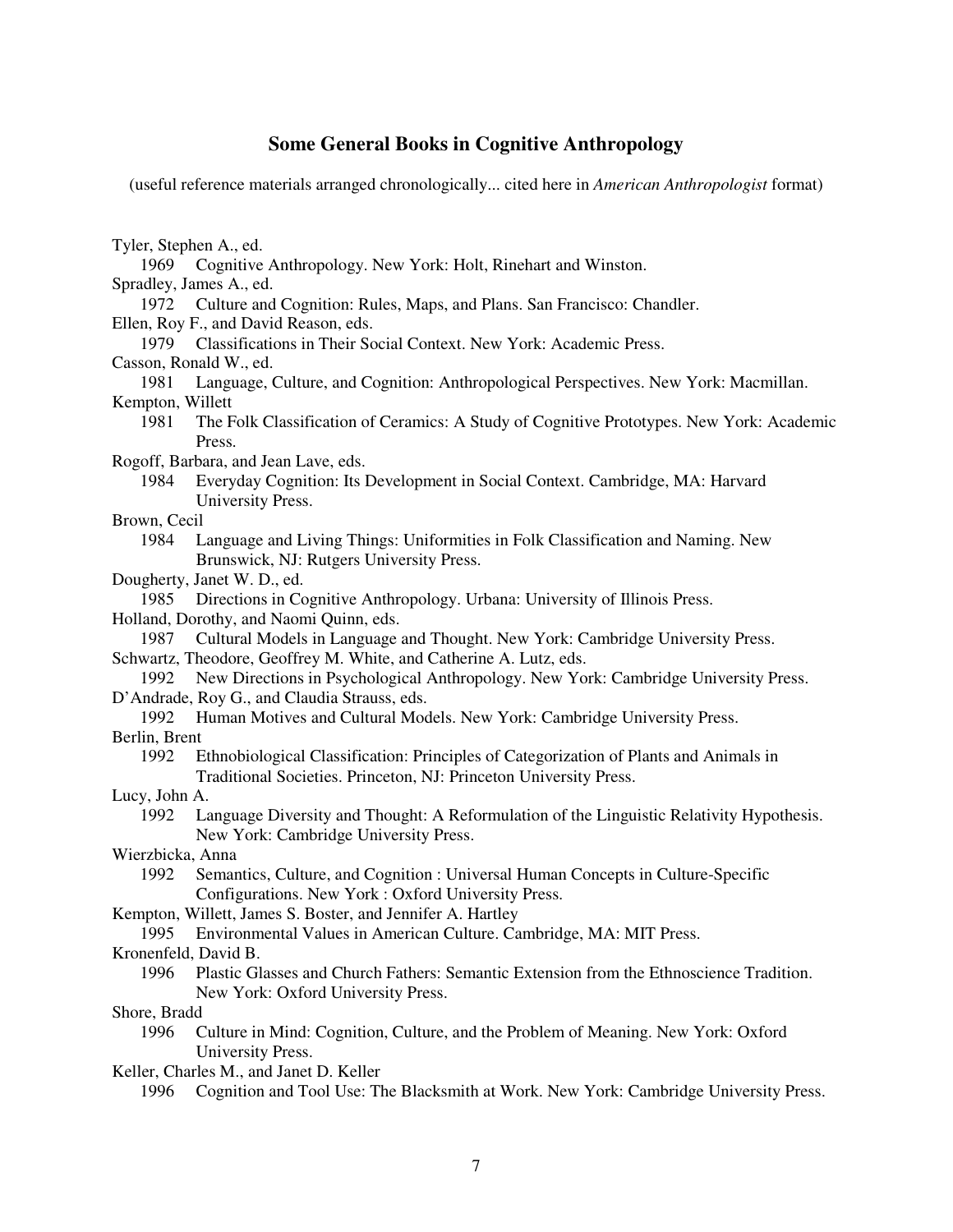### **Some General Books in Cognitive Anthropology**

(useful reference materials arranged chronologically... cited here in *American Anthropologist* format)

|  | Tyler, Stephen A., ed. |  |  |
|--|------------------------|--|--|
|--|------------------------|--|--|

- 1969 Cognitive Anthropology. New York: Holt, Rinehart and Winston.
- Spradley, James A., ed.
- 1972 Culture and Cognition: Rules, Maps, and Plans. San Francisco: Chandler.
- Ellen, Roy F., and David Reason, eds.
- 1979 Classifications in Their Social Context. New York: Academic Press.
- Casson, Ronald W., ed.

 1981 Language, Culture, and Cognition: Anthropological Perspectives. New York: Macmillan. Kempton, Willett

 1981 The Folk Classification of Ceramics: A Study of Cognitive Prototypes. New York: Academic Press.

Rogoff, Barbara, and Jean Lave, eds.

- 1984 Everyday Cognition: Its Development in Social Context. Cambridge, MA: Harvard University Press.
- Brown, Cecil
	- 1984 Language and Living Things: Uniformities in Folk Classification and Naming. New Brunswick, NJ: Rutgers University Press.
- Dougherty, Janet W. D., ed.
- 1985 Directions in Cognitive Anthropology. Urbana: University of Illinois Press.

Holland, Dorothy, and Naomi Quinn, eds.

1987 Cultural Models in Language and Thought. New York: Cambridge University Press.

Schwartz, Theodore, Geoffrey M. White, and Catherine A. Lutz, eds.

 1992 New Directions in Psychological Anthropology. New York: Cambridge University Press. D'Andrade, Roy G., and Claudia Strauss, eds.

1992 Human Motives and Cultural Models. New York: Cambridge University Press.

Berlin, Brent

 1992 Ethnobiological Classification: Principles of Categorization of Plants and Animals in Traditional Societies. Princeton, NJ: Princeton University Press.

Lucy, John A.

- 1992 Language Diversity and Thought: A Reformulation of the Linguistic Relativity Hypothesis. New York: Cambridge University Press.
- Wierzbicka, Anna
	- 1992 Semantics, Culture, and Cognition : Universal Human Concepts in Culture-Specific Configurations. New York : Oxford University Press.
- Kempton, Willett, James S. Boster, and Jennifer A. Hartley
	- 1995 Environmental Values in American Culture. Cambridge, MA: MIT Press.

Kronenfeld, David B.

 1996 Plastic Glasses and Church Fathers: Semantic Extension from the Ethnoscience Tradition. New York: Oxford University Press.

Shore, Bradd

 1996 Culture in Mind: Cognition, Culture, and the Problem of Meaning. New York: Oxford University Press.

Keller, Charles M., and Janet D. Keller

1996 Cognition and Tool Use: The Blacksmith at Work. New York: Cambridge University Press.